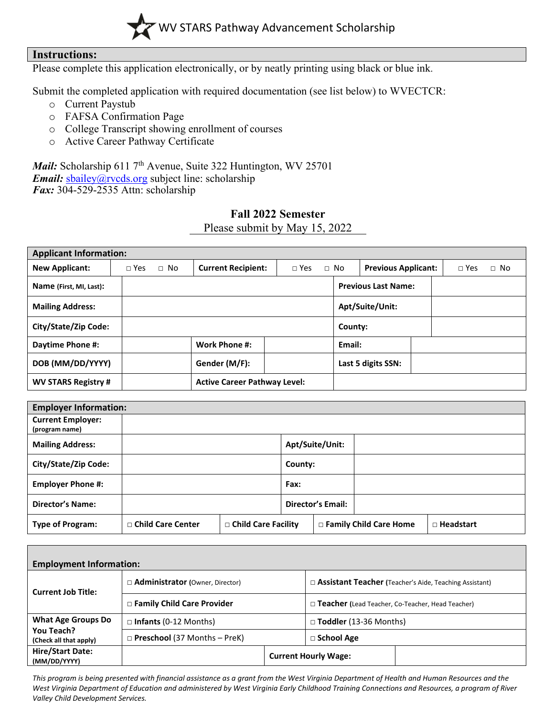

## **Instructions:**

Please complete this application electronically, or by neatly printing using black or blue ink.

Submit the completed application with required documentation (see list below) to WVECTCR:

- o Current Paystub
- o FAFSA Confirmation Page
- o College Transcript showing enrollment of courses
- o Active Career Pathway Certificate

*Mail:* Scholarship 611 7<sup>th</sup> Avenue, Suite 322 Huntington, WV 25701 *Email:* [sbailey@rvcds.org](mailto:sbailey@rvcds.org) subject line: scholarship *Fax:* 304-529-2535 Attn: scholarship

# **Fall 2022 Semester**

Please submit by May 15, 2022

| <b>Applicant Information:</b> |              |                                                                       |                                     |  |         |                            |  |            |           |
|-------------------------------|--------------|-----------------------------------------------------------------------|-------------------------------------|--|---------|----------------------------|--|------------|-----------|
| <b>New Applicant:</b>         | $\sqcap$ Yes | <b>Current Recipient:</b><br>$\sqcap$ Yes<br>$\Box$ No<br>$\sqcap$ No |                                     |  |         | <b>Previous Applicant:</b> |  | $\Box$ Yes | $\Box$ No |
| Name (First, MI, Last):       |              |                                                                       |                                     |  |         | <b>Previous Last Name:</b> |  |            |           |
| <b>Mailing Address:</b>       |              |                                                                       |                                     |  |         | Apt/Suite/Unit:            |  |            |           |
| City/State/Zip Code:          |              |                                                                       |                                     |  | County: |                            |  |            |           |
| Daytime Phone #:              |              |                                                                       | <b>Work Phone #:</b>                |  | Email:  |                            |  |            |           |
| DOB (MM/DD/YYYY)              |              |                                                                       | Gender (M/F):                       |  |         | Last 5 digits SSN:         |  |            |           |
| <b>WV STARS Registry #</b>    |              |                                                                       | <b>Active Career Pathway Level:</b> |  |         |                            |  |            |           |

| <b>Employer Information:</b>               |                     |                            |         |                          |                                 |                  |  |  |
|--------------------------------------------|---------------------|----------------------------|---------|--------------------------|---------------------------------|------------------|--|--|
| <b>Current Employer:</b><br>(program name) |                     |                            |         |                          |                                 |                  |  |  |
| <b>Mailing Address:</b>                    |                     |                            |         | Apt/Suite/Unit:          |                                 |                  |  |  |
| City/State/Zip Code:                       |                     |                            | County: |                          |                                 |                  |  |  |
| <b>Employer Phone #:</b>                   |                     |                            | Fax:    |                          |                                 |                  |  |  |
| <b>Director's Name:</b>                    |                     |                            |         | <b>Director's Email:</b> |                                 |                  |  |  |
| <b>Type of Program:</b>                    | □ Child Care Center | $\Box$ Child Care Facility |         |                          | <b>D</b> Family Child Care Home | $\Box$ Headstart |  |  |

| <b>Employment Information:</b>          |                                                                     |  |                                                          |  |  |  |  |
|-----------------------------------------|---------------------------------------------------------------------|--|----------------------------------------------------------|--|--|--|--|
| <b>Current Job Title:</b>               | <b>Administrator</b> (Owner, Director)                              |  | □ Assistant Teacher (Teacher's Aide, Teaching Assistant) |  |  |  |  |
|                                         | □ Family Child Care Provider                                        |  | $\Box$ Teacher (Lead Teacher, Co-Teacher, Head Teacher)  |  |  |  |  |
| <b>What Age Groups Do</b>               | $\Box$ Infants (0-12 Months)<br>$\Box$ Preschool (37 Months – PreK) |  | $\Box$ Toddler (13-36 Months)                            |  |  |  |  |
| You Teach?<br>(Check all that apply)    |                                                                     |  | □ School Age                                             |  |  |  |  |
| <b>Hire/Start Date:</b><br>(MM/DD/YYYY) |                                                                     |  | <b>Current Hourly Wage:</b>                              |  |  |  |  |

*This program is being presented with financial assistance as a grant from the West Virginia Department of Health and Human Resources and the West Virginia Department of Education and administered by West Virginia Early Childhood Training Connections and Resources, a program of River Valley Child Development Services.*